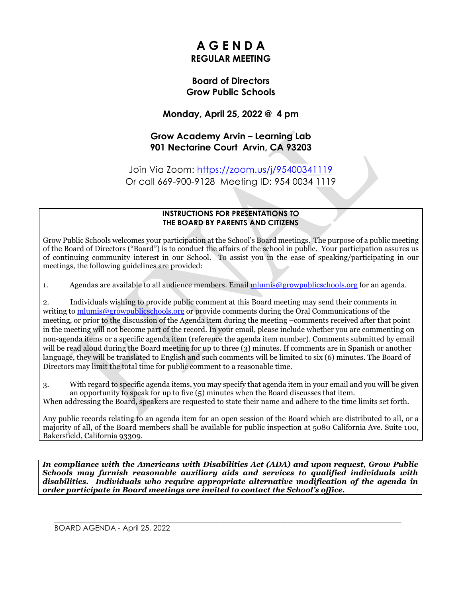## **A G E N D A REGULAR MEETING**

#### **Board of Directors Grow Public Schools**

#### **Monday, April 25, 2022 @ 4 pm**

#### **Grow Academy Arvin – Learning Lab 901 Nectarine Court Arvin, CA 93203**

Join Via Zoom:<https://zoom.us/j/95400341119> Or call 669-900-9128 Meeting ID: 954 0034 1119

#### **INSTRUCTIONS FOR PRESENTATIONS TO THE BOARD BY PARENTS AND CITIZENS**

Grow Public Schools welcomes your participation at the School's Board meetings. The purpose of a public meeting of the Board of Directors ("Board") is to conduct the affairs of the school in public. Your participation assures us of continuing community interest in our School. To assist you in the ease of speaking/participating in our meetings, the following guidelines are provided:

1. Agendas are available to all audience members. Email mlumis  $\omega$  growpublics chools, org for an agenda.

2. Individuals wishing to provide public comment at this Board meeting may send their comments in writing to [mlumis@growpublicschools.org](mailto:mlumis@growpublicschools.org) or provide comments during the Oral Communications of the meeting, or prior to the discussion of the Agenda item during the meeting –comments received after that point in the meeting will not become part of the record. In your email, please include whether you are commenting on non-agenda items or a specific agenda item (reference the agenda item number). Comments submitted by email will be read aloud during the Board meeting for up to three (3) minutes. If comments are in Spanish or another language, they will be translated to English and such comments will be limited to six (6) minutes. The Board of Directors may limit the total time for public comment to a reasonable time.

3. With regard to specific agenda items, you may specify that agenda item in your email and you will be given an opportunity to speak for up to five (5) minutes when the Board discusses that item. When addressing the Board, speakers are requested to state their name and adhere to the time limits set forth.

Any public records relating to an agenda item for an open session of the Board which are distributed to all, or a majority of all, of the Board members shall be available for public inspection at 5080 California Ave. Suite 100, Bakersfield, California 93309.

*In compliance with the Americans with Disabilities Act (ADA) and upon request, Grow Public Schools may furnish reasonable auxiliary aids and services to qualified individuals with disabilities. Individuals who require appropriate alternative modification of the agenda in order participate in Board meetings are invited to contact the School's office.*

 $\mathcal{L}_\mathcal{L} = \mathcal{L}_\mathcal{L} = \mathcal{L}_\mathcal{L} = \mathcal{L}_\mathcal{L} = \mathcal{L}_\mathcal{L} = \mathcal{L}_\mathcal{L} = \mathcal{L}_\mathcal{L} = \mathcal{L}_\mathcal{L} = \mathcal{L}_\mathcal{L} = \mathcal{L}_\mathcal{L} = \mathcal{L}_\mathcal{L} = \mathcal{L}_\mathcal{L} = \mathcal{L}_\mathcal{L} = \mathcal{L}_\mathcal{L} = \mathcal{L}_\mathcal{L} = \mathcal{L}_\mathcal{L} = \mathcal{L}_\mathcal{L}$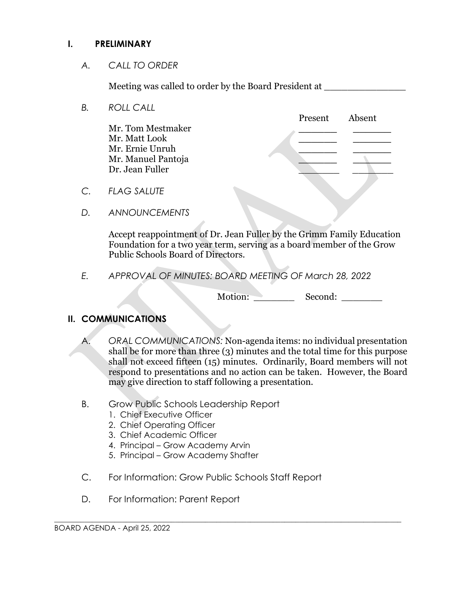#### **I. PRELIMINARY**

*A. CALL TO ORDER*

Meeting was called to order by the Board President at \_\_\_\_\_\_\_\_\_\_\_\_\_\_\_\_\_\_\_\_\_\_\_\_\_\_

*B. ROLL CALL*

Mr. Tom Mestmaker **\_\_\_\_\_\_ \_\_\_\_\_\_** Mr. Matt Look **\_\_\_\_\_\_ \_\_\_\_\_\_** Mr. Ernie Unruh **\_\_\_\_\_\_ \_\_\_\_\_\_** Mr. Manuel Pantoja **\_\_\_\_\_\_ \_\_\_\_\_\_** Dr. Jean Fuller \_\_\_\_\_\_\_ \_\_\_\_\_\_\_

Present Absent

- *C. FLAG SALUTE*
- *D. ANNOUNCEMENTS*

Accept reappointment of Dr. Jean Fuller by the Grimm Family Education Foundation for a tw0 year term, serving as a board member of the Grow Public Schools Board of Directors.

*E. APPROVAL OF MINUTES: BOARD MEETING OF March 28, 2022*

Motion: Second:

#### **II. COMMUNICATIONS**

- A. *ORAL COMMUNICATIONS:* Non-agenda items: no individual presentation shall be for more than three (3) minutes and the total time for this purpose shall not exceed fifteen (15) minutes. Ordinarily, Board members will not respond to presentations and no action can be taken. However, the Board may give direction to staff following a presentation.
- B. Grow Public Schools Leadership Report
	- 1. Chief Executive Officer
	- 2. Chief Operating Officer
	- 3. Chief Academic Officer
	- 4. Principal Grow Academy Arvin
	- 5. Principal Grow Academy Shafter
- C. For Information: Grow Public Schools Staff Report

 $\mathcal{L}_\mathcal{L} = \mathcal{L}_\mathcal{L} = \mathcal{L}_\mathcal{L} = \mathcal{L}_\mathcal{L} = \mathcal{L}_\mathcal{L} = \mathcal{L}_\mathcal{L} = \mathcal{L}_\mathcal{L} = \mathcal{L}_\mathcal{L} = \mathcal{L}_\mathcal{L} = \mathcal{L}_\mathcal{L} = \mathcal{L}_\mathcal{L} = \mathcal{L}_\mathcal{L} = \mathcal{L}_\mathcal{L} = \mathcal{L}_\mathcal{L} = \mathcal{L}_\mathcal{L} = \mathcal{L}_\mathcal{L} = \mathcal{L}_\mathcal{L}$ 

D. For Information: Parent Report